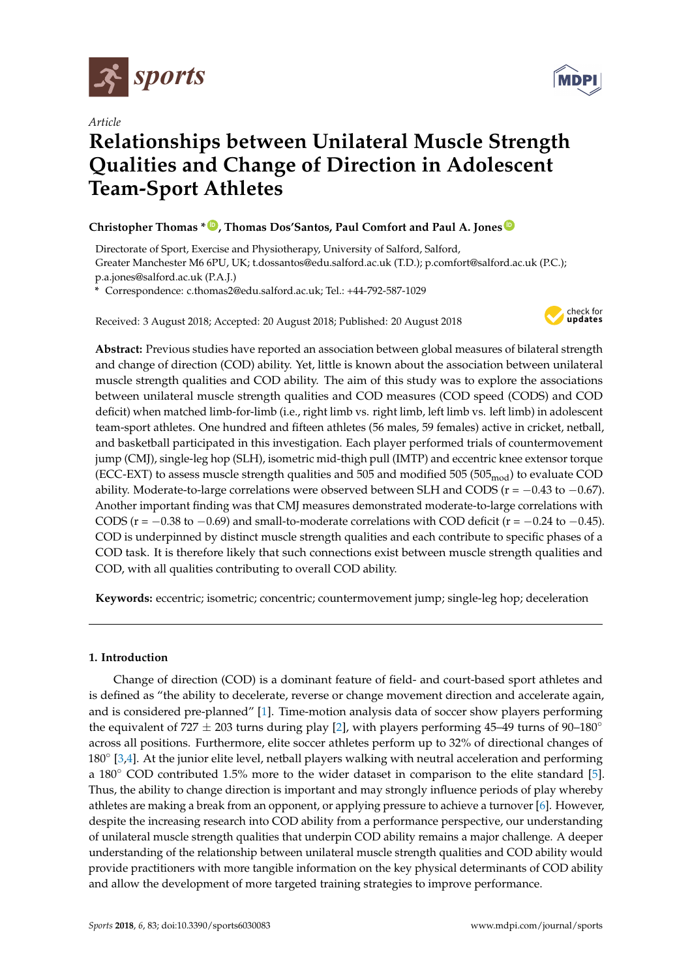

*Article*



# **Relationships between Unilateral Muscle Strength Qualities and Change of Direction in Adolescent Team-Sport Athletes**

## **Christopher Thomas \* [ID](https://orcid.org/0000-0002-9831-6235) , Thomas Dos'Santos, Paul Comfort and Paul A. Jones [ID](https://orcid.org/0000-0002-3295-7670)**

Directorate of Sport, Exercise and Physiotherapy, University of Salford, Salford, Greater Manchester M6 6PU, UK; t.dossantos@edu.salford.ac.uk (T.D.); p.comfort@salford.ac.uk (P.C.); p.a.jones@salford.ac.uk (P.A.J.)

**\*** Correspondence: c.thomas2@edu.salford.ac.uk; Tel.: +44-792-587-1029

Received: 3 August 2018; Accepted: 20 August 2018; Published: 20 August 2018



**Abstract:** Previous studies have reported an association between global measures of bilateral strength and change of direction (COD) ability. Yet, little is known about the association between unilateral muscle strength qualities and COD ability. The aim of this study was to explore the associations between unilateral muscle strength qualities and COD measures (COD speed (CODS) and COD deficit) when matched limb-for-limb (i.e., right limb vs. right limb, left limb vs. left limb) in adolescent team-sport athletes. One hundred and fifteen athletes (56 males, 59 females) active in cricket, netball, and basketball participated in this investigation. Each player performed trials of countermovement jump (CMJ), single-leg hop (SLH), isometric mid-thigh pull (IMTP) and eccentric knee extensor torque (ECC-EXT) to assess muscle strength qualities and 505 and modified 505 (505 $_{\text{mod}}$ ) to evaluate COD ability. Moderate-to-large correlations were observed between SLH and CODS ( $r = -0.43$  to  $-0.67$ ). Another important finding was that CMJ measures demonstrated moderate-to-large correlations with CODS ( $r = -0.38$  to  $-0.69$ ) and small-to-moderate correlations with COD deficit ( $r = -0.24$  to  $-0.45$ ). COD is underpinned by distinct muscle strength qualities and each contribute to specific phases of a COD task. It is therefore likely that such connections exist between muscle strength qualities and COD, with all qualities contributing to overall COD ability.

**Keywords:** eccentric; isometric; concentric; countermovement jump; single-leg hop; deceleration

### **1. Introduction**

Change of direction (COD) is a dominant feature of field- and court-based sport athletes and is defined as "the ability to decelerate, reverse or change movement direction and accelerate again, and is considered pre-planned" [\[1\]](#page-9-0). Time-motion analysis data of soccer show players performing the equivalent of 727  $\pm$  203 turns during play [\[2\]](#page-9-1), with players performing 45–49 turns of 90–180 $^{\circ}$ across all positions. Furthermore, elite soccer athletes perform up to 32% of directional changes of 180<sup>°</sup> [\[3,](#page-9-2)[4\]](#page-9-3). At the junior elite level, netball players walking with neutral acceleration and performing a 180◦ COD contributed 1.5% more to the wider dataset in comparison to the elite standard [\[5\]](#page-9-4). Thus, the ability to change direction is important and may strongly influence periods of play whereby athletes are making a break from an opponent, or applying pressure to achieve a turnover [\[6\]](#page-9-5). However, despite the increasing research into COD ability from a performance perspective, our understanding of unilateral muscle strength qualities that underpin COD ability remains a major challenge. A deeper understanding of the relationship between unilateral muscle strength qualities and COD ability would provide practitioners with more tangible information on the key physical determinants of COD ability and allow the development of more targeted training strategies to improve performance.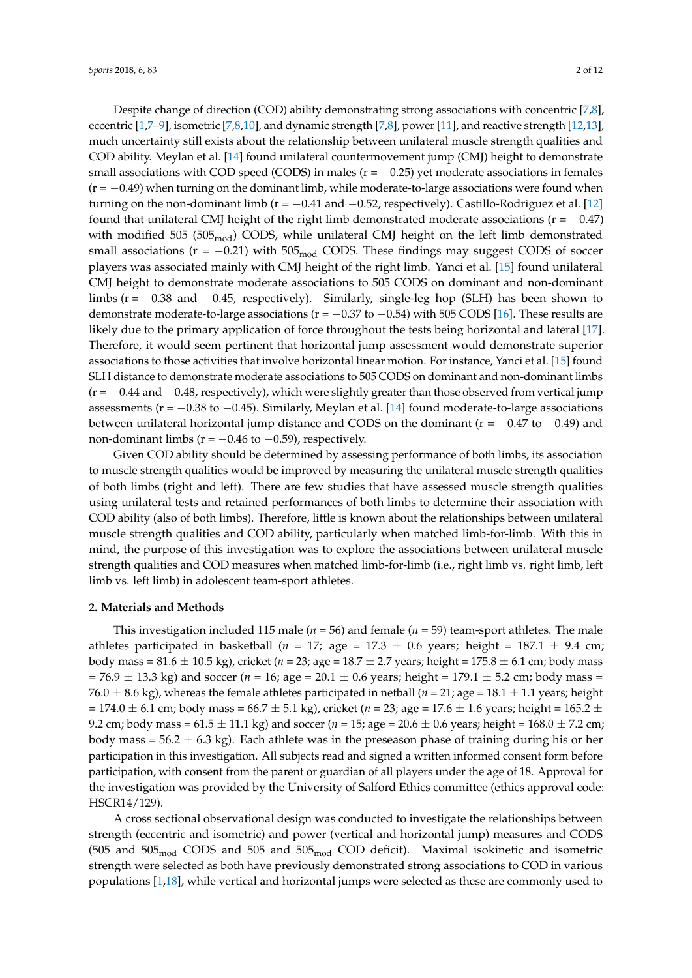Despite change of direction (COD) ability demonstrating strong associations with concentric [\[7](#page-9-6)[,8\]](#page-9-7), eccentric [\[1,](#page-9-0)[7](#page-9-6)[–9\]](#page-9-8), isometric [\[7,](#page-9-6)[8](#page-9-7)[,10\]](#page-9-9), and dynamic strength [\[7,](#page-9-6)[8\]](#page-9-7), power [\[11\]](#page-9-10), and reactive strength [\[12](#page-10-0)[,13\]](#page-10-1), much uncertainty still exists about the relationship between unilateral muscle strength qualities and COD ability. Meylan et al. [\[14\]](#page-10-2) found unilateral countermovement jump (CMJ) height to demonstrate small associations with COD speed (CODS) in males ( $r = -0.25$ ) yet moderate associations in females  $(r = -0.49)$  when turning on the dominant limb, while moderate-to-large associations were found when turning on the non-dominant limb ( $r = -0.41$  and  $-0.52$ , respectively). Castillo-Rodriguez et al. [\[12\]](#page-10-0) found that unilateral CMJ height of the right limb demonstrated moderate associations ( $r = -0.47$ ) with modified 505 (505 $_{\text{mod}}$ ) CODS, while unilateral CMJ height on the left limb demonstrated small associations ( $r = -0.21$ ) with  $505<sub>mod</sub>$  CODS. These findings may suggest CODS of soccer players was associated mainly with CMJ height of the right limb. Yanci et al. [\[15\]](#page-10-3) found unilateral CMJ height to demonstrate moderate associations to 505 CODS on dominant and non-dominant limbs ( $r = -0.38$  and  $-0.45$ , respectively). Similarly, single-leg hop (SLH) has been shown to demonstrate moderate-to-large associations ( $r = -0.37$  to  $-0.54$ ) with 505 CODS [\[16\]](#page-10-4). These results are likely due to the primary application of force throughout the tests being horizontal and lateral [\[17\]](#page-10-5). Therefore, it would seem pertinent that horizontal jump assessment would demonstrate superior associations to those activities that involve horizontal linear motion. For instance, Yanci et al. [\[15\]](#page-10-3) found SLH distance to demonstrate moderate associations to 505 CODS on dominant and non-dominant limbs  $(r = -0.44$  and  $-0.48$ , respectively), which were slightly greater than those observed from vertical jump assessments ( $r = −0.38$  to  $-0.45$ ). Similarly, Meylan et al. [\[14\]](#page-10-2) found moderate-to-large associations between unilateral horizontal jump distance and CODS on the dominant ( $r = -0.47$  to  $-0.49$ ) and non-dominant limbs ( $r = -0.46$  to  $-0.59$ ), respectively.

Given COD ability should be determined by assessing performance of both limbs, its association to muscle strength qualities would be improved by measuring the unilateral muscle strength qualities of both limbs (right and left). There are few studies that have assessed muscle strength qualities using unilateral tests and retained performances of both limbs to determine their association with COD ability (also of both limbs). Therefore, little is known about the relationships between unilateral muscle strength qualities and COD ability, particularly when matched limb-for-limb. With this in mind, the purpose of this investigation was to explore the associations between unilateral muscle strength qualities and COD measures when matched limb-for-limb (i.e., right limb vs. right limb, left limb vs. left limb) in adolescent team-sport athletes.

#### **2. Materials and Methods**

This investigation included 115 male ( $n = 56$ ) and female ( $n = 59$ ) team-sport athletes. The male athletes participated in basketball ( $n = 17$ ; age =  $17.3 \pm 0.6$  years; height = 187.1  $\pm$  9.4 cm; body mass = 81.6 ± 10.5 kg), cricket (*n* = 23; age = 18.7 ± 2.7 years; height = 175.8 ± 6.1 cm; body mass  $= 76.9 \pm 13.3$  kg) and soccer (*n* = 16; age = 20.1  $\pm$  0.6 years; height = 179.1  $\pm$  5.2 cm; body mass =  $76.0 \pm 8.6$  kg), whereas the female athletes participated in netball ( $n = 21$ ; age = 18.1  $\pm$  1.1 years; height  $= 174.0 \pm 6.1$  cm; body mass  $= 66.7 \pm 5.1$  kg), cricket ( $n = 23$ ; age  $= 17.6 \pm 1.6$  years; height  $= 165.2 \pm 1.6$ 9.2 cm; body mass =  $61.5 \pm 11.1$  kg) and soccer ( $n = 15$ ; age =  $20.6 \pm 0.6$  years; height =  $168.0 \pm 7.2$  cm; body mass =  $56.2 \pm 6.3$  kg). Each athlete was in the preseason phase of training during his or her participation in this investigation. All subjects read and signed a written informed consent form before participation, with consent from the parent or guardian of all players under the age of 18. Approval for the investigation was provided by the University of Salford Ethics committee (ethics approval code: HSCR14/129).

A cross sectional observational design was conducted to investigate the relationships between strength (eccentric and isometric) and power (vertical and horizontal jump) measures and CODS (505 and 505 $_{\text{mod}}$  CODS and 505 and 505 $_{\text{mod}}$  COD deficit). Maximal isokinetic and isometric strength were selected as both have previously demonstrated strong associations to COD in various populations [\[1,](#page-9-0)[18\]](#page-10-6), while vertical and horizontal jumps were selected as these are commonly used to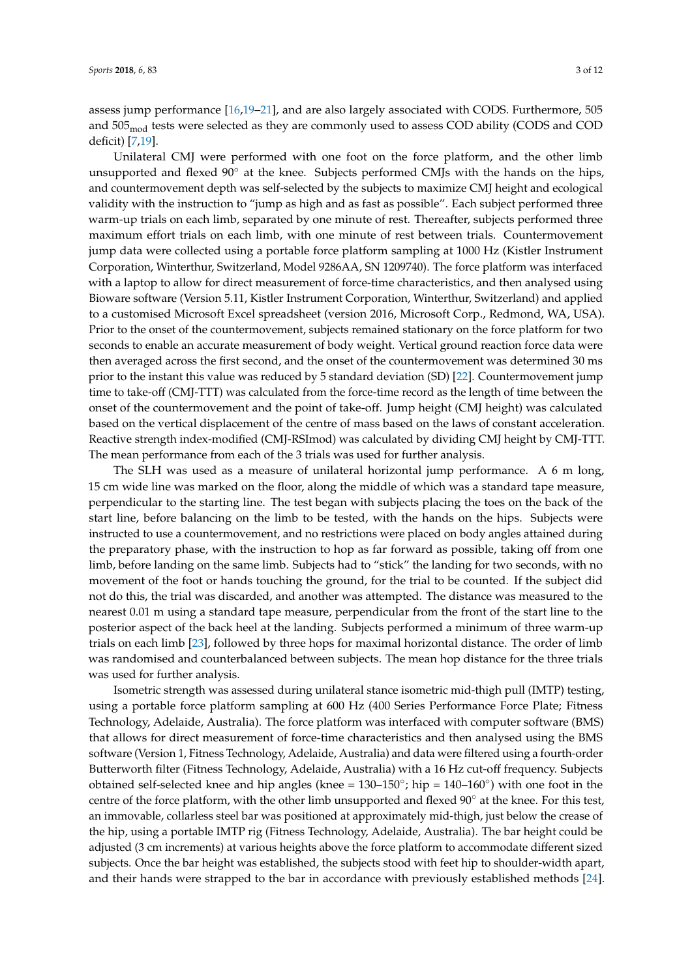assess jump performance [\[16,](#page-10-4)[19](#page-10-7)[–21\]](#page-10-8), and are also largely associated with CODS. Furthermore, 505 and 505<sub>mod</sub> tests were selected as they are commonly used to assess COD ability (CODS and COD deficit) [\[7,](#page-9-6)[19\]](#page-10-7).

Unilateral CMJ were performed with one foot on the force platform, and the other limb unsupported and flexed 90° at the knee. Subjects performed CMJs with the hands on the hips, and countermovement depth was self-selected by the subjects to maximize CMJ height and ecological validity with the instruction to "jump as high and as fast as possible". Each subject performed three warm-up trials on each limb, separated by one minute of rest. Thereafter, subjects performed three maximum effort trials on each limb, with one minute of rest between trials. Countermovement jump data were collected using a portable force platform sampling at 1000 Hz (Kistler Instrument Corporation, Winterthur, Switzerland, Model 9286AA, SN 1209740). The force platform was interfaced with a laptop to allow for direct measurement of force-time characteristics, and then analysed using Bioware software (Version 5.11, Kistler Instrument Corporation, Winterthur, Switzerland) and applied to a customised Microsoft Excel spreadsheet (version 2016, Microsoft Corp., Redmond, WA, USA). Prior to the onset of the countermovement, subjects remained stationary on the force platform for two seconds to enable an accurate measurement of body weight. Vertical ground reaction force data were then averaged across the first second, and the onset of the countermovement was determined 30 ms prior to the instant this value was reduced by 5 standard deviation (SD) [\[22\]](#page-10-9). Countermovement jump time to take-off (CMJ-TTT) was calculated from the force-time record as the length of time between the onset of the countermovement and the point of take-off. Jump height (CMJ height) was calculated based on the vertical displacement of the centre of mass based on the laws of constant acceleration. Reactive strength index-modified (CMJ-RSImod) was calculated by dividing CMJ height by CMJ-TTT. The mean performance from each of the 3 trials was used for further analysis.

The SLH was used as a measure of unilateral horizontal jump performance. A 6 m long, 15 cm wide line was marked on the floor, along the middle of which was a standard tape measure, perpendicular to the starting line. The test began with subjects placing the toes on the back of the start line, before balancing on the limb to be tested, with the hands on the hips. Subjects were instructed to use a countermovement, and no restrictions were placed on body angles attained during the preparatory phase, with the instruction to hop as far forward as possible, taking off from one limb, before landing on the same limb. Subjects had to "stick" the landing for two seconds, with no movement of the foot or hands touching the ground, for the trial to be counted. If the subject did not do this, the trial was discarded, and another was attempted. The distance was measured to the nearest 0.01 m using a standard tape measure, perpendicular from the front of the start line to the posterior aspect of the back heel at the landing. Subjects performed a minimum of three warm-up trials on each limb [\[23\]](#page-10-10), followed by three hops for maximal horizontal distance. The order of limb was randomised and counterbalanced between subjects. The mean hop distance for the three trials was used for further analysis.

Isometric strength was assessed during unilateral stance isometric mid-thigh pull (IMTP) testing, using a portable force platform sampling at 600 Hz (400 Series Performance Force Plate; Fitness Technology, Adelaide, Australia). The force platform was interfaced with computer software (BMS) that allows for direct measurement of force-time characteristics and then analysed using the BMS software (Version 1, Fitness Technology, Adelaide, Australia) and data were filtered using a fourth-order Butterworth filter (Fitness Technology, Adelaide, Australia) with a 16 Hz cut-off frequency. Subjects obtained self-selected knee and hip angles (knee =  $130-150^\circ$ ; hip =  $140-160^\circ$ ) with one foot in the centre of the force platform, with the other limb unsupported and flexed 90◦ at the knee. For this test, an immovable, collarless steel bar was positioned at approximately mid-thigh, just below the crease of the hip, using a portable IMTP rig (Fitness Technology, Adelaide, Australia). The bar height could be adjusted (3 cm increments) at various heights above the force platform to accommodate different sized subjects. Once the bar height was established, the subjects stood with feet hip to shoulder-width apart, and their hands were strapped to the bar in accordance with previously established methods [\[24\]](#page-10-11).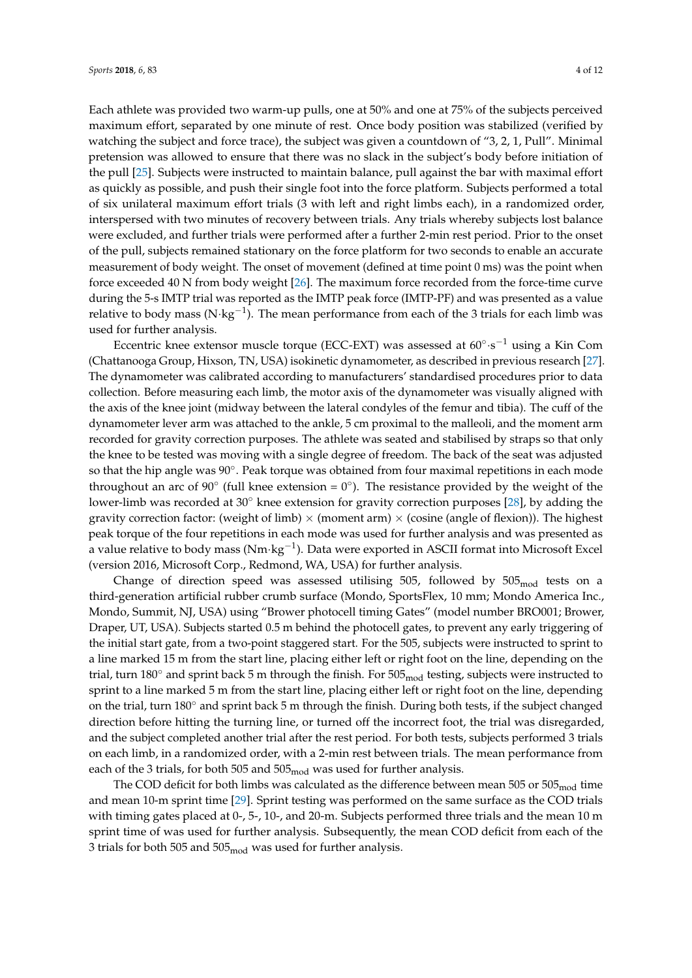Each athlete was provided two warm-up pulls, one at 50% and one at 75% of the subjects perceived maximum effort, separated by one minute of rest. Once body position was stabilized (verified by watching the subject and force trace), the subject was given a countdown of "3, 2, 1, Pull". Minimal pretension was allowed to ensure that there was no slack in the subject's body before initiation of the pull [\[25\]](#page-10-12). Subjects were instructed to maintain balance, pull against the bar with maximal effort as quickly as possible, and push their single foot into the force platform. Subjects performed a total of six unilateral maximum effort trials (3 with left and right limbs each), in a randomized order, interspersed with two minutes of recovery between trials. Any trials whereby subjects lost balance were excluded, and further trials were performed after a further 2-min rest period. Prior to the onset of the pull, subjects remained stationary on the force platform for two seconds to enable an accurate measurement of body weight. The onset of movement (defined at time point 0 ms) was the point when force exceeded 40 N from body weight [\[26\]](#page-10-13). The maximum force recorded from the force-time curve during the 5-s IMTP trial was reported as the IMTP peak force (IMTP-PF) and was presented as a value relative to body mass (N·kg<sup>-1</sup>). The mean performance from each of the 3 trials for each limb was

used for further analysis.

Eccentric knee extensor muscle torque (ECC-EXT) was assessed at  $60^{\circ} \cdot s^{-1}$  using a Kin Com (Chattanooga Group, Hixson, TN, USA) isokinetic dynamometer, as described in previous research [\[27\]](#page-10-14). The dynamometer was calibrated according to manufacturers' standardised procedures prior to data collection. Before measuring each limb, the motor axis of the dynamometer was visually aligned with the axis of the knee joint (midway between the lateral condyles of the femur and tibia). The cuff of the dynamometer lever arm was attached to the ankle, 5 cm proximal to the malleoli, and the moment arm recorded for gravity correction purposes. The athlete was seated and stabilised by straps so that only the knee to be tested was moving with a single degree of freedom. The back of the seat was adjusted so that the hip angle was 90°. Peak torque was obtained from four maximal repetitions in each mode throughout an arc of 90 $\degree$  (full knee extension =  $0\degree$ ). The resistance provided by the weight of the lower-limb was recorded at 30◦ knee extension for gravity correction purposes [\[28\]](#page-10-15), by adding the gravity correction factor: (weight of limb)  $\times$  (moment arm)  $\times$  (cosine (angle of flexion)). The highest peak torque of the four repetitions in each mode was used for further analysis and was presented as a value relative to body mass ( $Nm·kg^{-1}$ ). Data were exported in ASCII format into Microsoft Excel (version 2016, Microsoft Corp., Redmond, WA, USA) for further analysis.

Change of direction speed was assessed utilising 505, followed by  $505<sub>mod</sub>$  tests on a third-generation artificial rubber crumb surface (Mondo, SportsFlex, 10 mm; Mondo America Inc., Mondo, Summit, NJ, USA) using "Brower photocell timing Gates" (model number BRO001; Brower, Draper, UT, USA). Subjects started 0.5 m behind the photocell gates, to prevent any early triggering of the initial start gate, from a two-point staggered start. For the 505, subjects were instructed to sprint to a line marked 15 m from the start line, placing either left or right foot on the line, depending on the trial, turn 180 $\degree$  and sprint back 5 m through the finish. For 505 $_{mod}$  testing, subjects were instructed to sprint to a line marked 5 m from the start line, placing either left or right foot on the line, depending on the trial, turn 180◦ and sprint back 5 m through the finish. During both tests, if the subject changed direction before hitting the turning line, or turned off the incorrect foot, the trial was disregarded, and the subject completed another trial after the rest period. For both tests, subjects performed 3 trials on each limb, in a randomized order, with a 2-min rest between trials. The mean performance from each of the 3 trials, for both 505 and  $505<sub>mod</sub>$  was used for further analysis.

The COD deficit for both limbs was calculated as the difference between mean 505 or  $505<sub>mod</sub>$  time and mean 10-m sprint time [\[29\]](#page-10-16). Sprint testing was performed on the same surface as the COD trials with timing gates placed at 0-, 5-, 10-, and 20-m. Subjects performed three trials and the mean 10 m sprint time of was used for further analysis. Subsequently, the mean COD deficit from each of the 3 trials for both 505 and  $505<sub>mod</sub>$  was used for further analysis.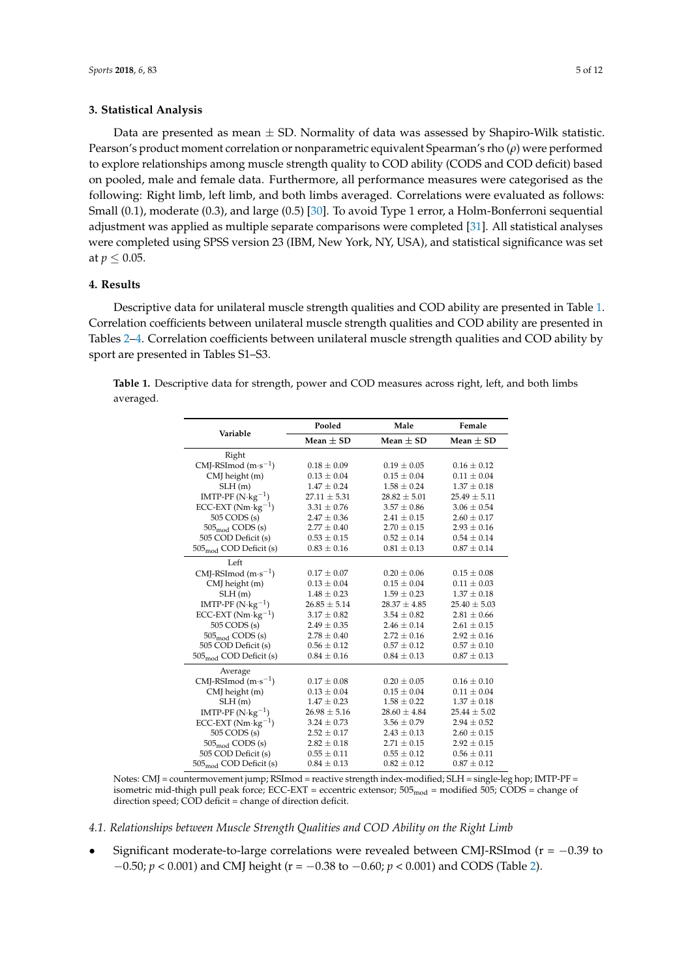#### **3. Statistical Analysis**

Data are presented as mean  $\pm$  SD. Normality of data was assessed by Shapiro-Wilk statistic. Pearson's product moment correlation or nonparametric equivalent Spearman's rho (*ρ*) were performed to explore relationships among muscle strength quality to COD ability (CODS and COD deficit) based on pooled, male and female data. Furthermore, all performance measures were categorised as the following: Right limb, left limb, and both limbs averaged. Correlations were evaluated as follows: Small (0.1), moderate (0.3), and large (0.5) [\[30\]](#page-10-17). To avoid Type 1 error, a Holm-Bonferroni sequential adjustment was applied as multiple separate comparisons were completed [\[31\]](#page-10-18). All statistical analyses were completed using SPSS version 23 (IBM, New York, NY, USA), and statistical significance was set at  $p \le 0.05$ .

#### **4. Results**

Descriptive data for unilateral muscle strength qualities and COD ability are presented in Table [1.](#page-4-0) Correlation coefficients between unilateral muscle strength qualities and COD ability are presented in Tables [2–](#page-5-0)[4.](#page-6-0) Correlation coefficients between unilateral muscle strength qualities and COD ability by sport are presented in Tables S1–S3.

<span id="page-4-0"></span>**Table 1.** Descriptive data for strength, power and COD measures across right, left, and both limbs averaged.

| Variable                      | Pooled<br>Male   |                  | Female           |  |
|-------------------------------|------------------|------------------|------------------|--|
|                               | Mean $\pm$ SD    | Mean $\pm$ SD    | Mean $\pm$ SD    |  |
| Right                         |                  |                  |                  |  |
| CMJ-RSImod $(m \cdot s^{-1})$ | $0.18 \pm 0.09$  | $0.19 \pm 0.05$  | $0.16 \pm 0.12$  |  |
| CMJ height (m)                | $0.13 \pm 0.04$  | $0.15 \pm 0.04$  | $0.11 \pm 0.04$  |  |
| SLH(m)                        | $1.47 \pm 0.24$  | $1.58 \pm 0.24$  | $1.37 \pm 0.18$  |  |
| IMTP-PF $(N \cdot kg^{-1})$   | $27.11 \pm 5.31$ | $28.82 \pm 5.01$ | $25.49 \pm 5.11$ |  |
| ECC-EXT $(Nm \cdot kg^{-1})$  | $3.31 \pm 0.76$  | $3.57 \pm 0.86$  | $3.06 \pm 0.54$  |  |
| 505 CODS (s)                  | $2.47 \pm 0.36$  | $2.41 \pm 0.15$  | $2.60 \pm 0.17$  |  |
| $505mod$ CODS (s)             | $2.77 \pm 0.40$  | $2.70 \pm 0.15$  | $2.93 \pm 0.16$  |  |
| 505 COD Deficit (s)           | $0.53 \pm 0.15$  | $0.52 \pm 0.14$  | $0.54 \pm 0.14$  |  |
| $505mod$ COD Deficit (s)      | $0.83 \pm 0.16$  | $0.81 \pm 0.13$  | $0.87 \pm 0.14$  |  |
| Left                          |                  |                  |                  |  |
| CMJ-RSImod $(m \cdot s^{-1})$ | $0.17 \pm 0.07$  | $0.20 \pm 0.06$  | $0.15 \pm 0.08$  |  |
| CMJ height (m)                | $0.13 \pm 0.04$  | $0.15 \pm 0.04$  | $0.11 \pm 0.03$  |  |
| SLH(m)                        | $1.48 \pm 0.23$  | $1.59 \pm 0.23$  | $1.37 \pm 0.18$  |  |
| IMTP-PF $(N \cdot kg^{-1})$   | $26.85 \pm 5.14$ | $28.37 \pm 4.85$ | $25.40 \pm 5.03$ |  |
| ECC-EXT $(Nm \cdot kg^{-1})$  | $3.17 \pm 0.82$  | $3.54 \pm 0.82$  | $2.81 \pm 0.66$  |  |
| 505 CODS (s)                  | $2.49 \pm 0.35$  | $2.46 \pm 0.14$  | $2.61 \pm 0.15$  |  |
| $505mod$ CODS (s)             | $2.78 \pm 0.40$  | $2.72 \pm 0.16$  | $2.92 \pm 0.16$  |  |
| 505 COD Deficit (s)           | $0.56 \pm 0.12$  | $0.57 \pm 0.12$  | $0.57 \pm 0.10$  |  |
| $505mod$ COD Deficit (s)      | $0.84 \pm 0.16$  | $0.84 \pm 0.13$  | $0.87 \pm 0.13$  |  |
| Average                       |                  |                  |                  |  |
| CMJ-RSImod $(m \cdot s^{-1})$ | $0.17 \pm 0.08$  | $0.20 \pm 0.05$  | $0.16 \pm 0.10$  |  |
| CMJ height (m)                | $0.13 \pm 0.04$  | $0.15 \pm 0.04$  | $0.11 \pm 0.04$  |  |
| SLH(m)                        | $1.47 \pm 0.23$  | $1.58 \pm 0.22$  | $1.37 \pm 0.18$  |  |
| IMTP-PF $(N \cdot kg^{-1})$   | $26.98 \pm 5.16$ | $28.60 \pm 4.84$ | $25.44 \pm 5.02$ |  |
| ECC-EXT $(Nm \cdot kg^{-1})$  | $3.24 \pm 0.73$  | $3.56 \pm 0.79$  | $2.94 \pm 0.52$  |  |
| 505 CODS (s)                  | $2.52 \pm 0.17$  | $2.43 \pm 0.13$  | $2.60 \pm 0.15$  |  |
| $505mod$ CODS (s)             | $2.82 \pm 0.18$  | $2.71 \pm 0.15$  | $2.92 \pm 0.15$  |  |
| 505 COD Deficit (s)           | $0.55 \pm 0.11$  | $0.55 \pm 0.12$  | $0.56 \pm 0.11$  |  |
| $505mod$ COD Deficit (s)      | $0.84 \pm 0.13$  | $0.82 \pm 0.12$  | $0.87 \pm 0.12$  |  |

Notes: CMJ = countermovement jump; RSImod = reactive strength index-modified; SLH = single-leg hop; IMTP-PF = isometric mid-thigh pull peak force; ECC-EXT = eccentric extensor;  $505_{mod}$  = modified  $505$ ; CODS = change of direction speed; COD deficit = change of direction deficit.

- *4.1. Relationships between Muscle Strength Qualities and COD Ability on the Right Limb*
- Significant moderate-to-large correlations were revealed between CMJ-RSImod ( $r = -0.39$  to −0.50; *p* < 0.001) and CMJ height (r = −0.38 to −0.60; *p* < 0.001) and CODS (Table [2\)](#page-5-0).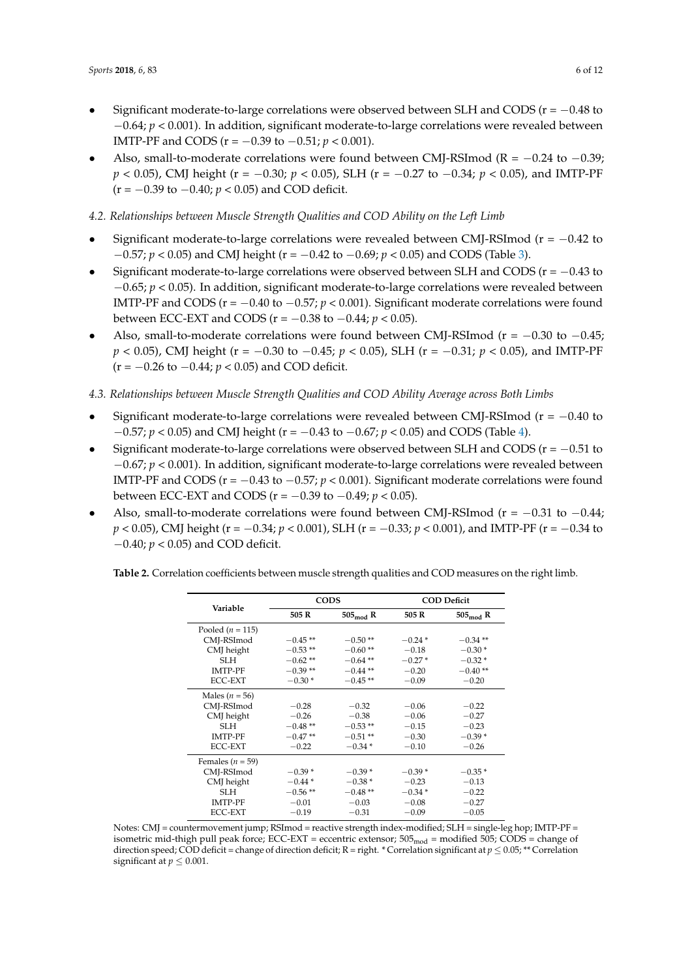- Significant moderate-to-large correlations were observed between SLH and CODS ( $r = -0.48$  to −0.64; *p* < 0.001). In addition, significant moderate-to-large correlations were revealed between IMTP-PF and CODS (r = −0.39 to −0.51; *p* < 0.001).
- Also, small-to-moderate correlations were found between CMJ-RSImod ( $R = -0.24$  to  $-0.39$ ; *p* < 0.05), CMJ height (r = −0.30; *p* < 0.05), SLH (r = −0.27 to −0.34; *p* < 0.05), and IMTP-PF (r = −0.39 to −0.40; *p* < 0.05) and COD deficit.
- *4.2. Relationships between Muscle Strength Qualities and COD Ability on the Left Limb*
- Significant moderate-to-large correlations were revealed between CMJ-RSImod ( $r = -0.42$  to −0.57; *p* < 0.05) and CMJ height (r = −0.42 to −0.69; *p* < 0.05) and CODS (Table [3\)](#page-6-1).
- Significant moderate-to-large correlations were observed between SLH and CODS ( $r = -0.43$  to −0.65; *p* < 0.05). In addition, significant moderate-to-large correlations were revealed between IMTP-PF and CODS (r = −0.40 to −0.57; *p* < 0.001). Significant moderate correlations were found between ECC-EXT and CODS (r = −0.38 to −0.44; *p* < 0.05).
- Also, small-to-moderate correlations were found between CMJ-RSImod ( $r = -0.30$  to  $-0.45$ ; *p* < 0.05), CMJ height (r = −0.30 to −0.45; *p* < 0.05), SLH (r = −0.31; *p* < 0.05), and IMTP-PF (r = −0.26 to −0.44; *p* < 0.05) and COD deficit.
- *4.3. Relationships between Muscle Strength Qualities and COD Ability Average across Both Limbs*
- Significant moderate-to-large correlations were revealed between CMJ-RSImod ( $r = -0.40$  to −0.57; *p* < 0.05) and CMJ height (r = −0.43 to −0.67; *p* < 0.05) and CODS (Table [4\)](#page-6-0).
- Significant moderate-to-large correlations were observed between SLH and CODS ( $r = -0.51$  to −0.67; *p* < 0.001). In addition, significant moderate-to-large correlations were revealed between IMTP-PF and CODS (r = −0.43 to −0.57; *p* < 0.001). Significant moderate correlations were found between ECC-EXT and CODS (r = −0.39 to −0.49; *p* < 0.05).
- Also, small-to-moderate correlations were found between CMJ-RSImod ( $r = -0.31$  to  $-0.44$ ; *p* < 0.05), CMJ height (r = −0.34; *p* < 0.001), SLH (r = −0.33; *p* < 0.001), and IMTP-PF (r = −0.34 to −0.40; *p* < 0.05) and COD deficit.

<span id="page-5-0"></span>**Table 2.** Correlation coefficients between muscle strength qualities and COD measures on the right limb.

| Variable             | <b>CODS</b> |               | <b>COD Deficit</b> |                        |
|----------------------|-------------|---------------|--------------------|------------------------|
|                      | 505 R       | $505_{mod}$ R | 505 R              | $505$ <sub>mod</sub> R |
| Pooled $(n = 115)$   |             |               |                    |                        |
| CMJ-RSImod           | $-0.45**$   | $-0.50**$     | $-0.24*$           | $-0.34**$              |
| CMJ height           | $-0.53**$   | $-0.60**$     | $-0.18$            | $-0.30*$               |
| <b>SLH</b>           | $-0.62**$   | $-0.64$ **    | $-0.27*$           | $-0.32*$               |
| <b>IMTP-PF</b>       | $-0.39**$   | $-0.44$ **    | $-0.20$            | $-0.40**$              |
| ECC-EXT              | $-0.30*$    | $-0.45**$     | $-0.09$            | $-0.20$                |
| Males ( $n = 56$ )   |             |               |                    |                        |
| CMJ-RSImod           | $-0.28$     | $-0.32$       | $-0.06$            | $-0.22$                |
| CMJ height           | $-0.26$     | $-0.38$       | $-0.06$            | $-0.27$                |
| <b>SLH</b>           | $-0.48**$   | $-0.53**$     | $-0.15$            | $-0.23$                |
| <b>IMTP-PF</b>       | $-0.47**$   | $-0.51**$     | $-0.30$            | $-0.39*$               |
| <b>ECC-EXT</b>       | $-0.22$     | $-0.34*$      | $-0.10$            | $-0.26$                |
| Females ( $n = 59$ ) |             |               |                    |                        |
| CMJ-RSImod           | $-0.39*$    | $-0.39*$      | $-0.39*$           | $-0.35*$               |
| CMJ height           | $-0.44*$    | $-0.38*$      | $-0.23$            | $-0.13$                |
| <b>SLH</b>           | $-0.56**$   | $-0.48**$     | $-0.34*$           | $-0.22$                |
| <b>IMTP-PF</b>       | $-0.01$     | $-0.03$       | $-0.08$            | $-0.27$                |
| <b>ECC-EXT</b>       | $-0.19$     | $-0.31$       | $-0.09$            | $-0.05$                |

Notes: CMJ = countermovement jump; RSImod = reactive strength index-modified; SLH = single-leg hop; IMTP-PF = isometric mid-thigh pull peak force; ECC-EXT = eccentric extensor;  $505_{mod}$  = modified  $505$ ; CODS = change of direction speed; COD deficit = change of direction deficit; R = right. \* Correlation significant at  $p \le 0.05$ ; \*\* Correlation significant at  $p \leq 0.001$ .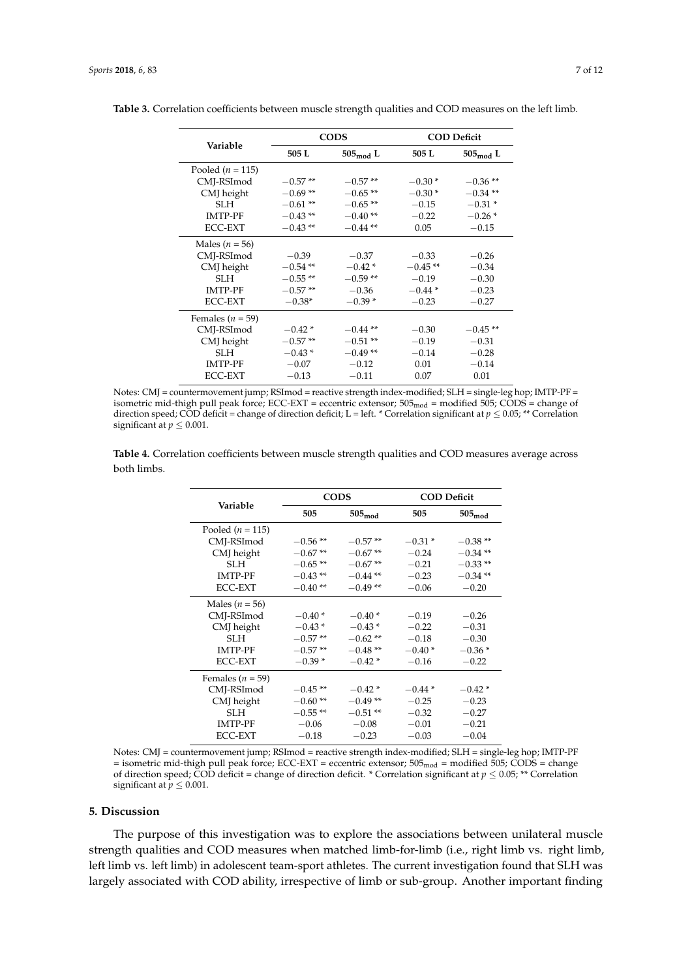| Variable             |            | <b>CODS</b>   |           | <b>COD Deficit</b> |  |
|----------------------|------------|---------------|-----------|--------------------|--|
|                      | 505 L      | $505_{mod}$ L | 505 L     | $505_{mod}$ L      |  |
| Pooled ( $n = 115$ ) |            |               |           |                    |  |
| CMJ-RSImod           | $-0.57**$  | $-0.57**$     | $-0.30*$  | $-0.36**$          |  |
| CMJ height           | $-0.69**$  | $-0.65**$     | $-0.30*$  | $-0.34$ **         |  |
| <b>SLH</b>           | $-0.61**$  | $-0.65**$     | $-0.15$   | $-0.31*$           |  |
| <b>IMTP-PF</b>       | $-0.43**$  | $-0.40**$     | $-0.22$   | $-0.26*$           |  |
| <b>ECC-EXT</b>       | $-0.43**$  | $-0.44$ **    | 0.05      | $-0.15$            |  |
| Males ( $n = 56$ )   |            |               |           |                    |  |
| CMJ-RSImod           | $-0.39$    | $-0.37$       | $-0.33$   | $-0.26$            |  |
| CMJ height           | $-0.54$ ** | $-0.42*$      | $-0.45**$ | $-0.34$            |  |
| SLH                  | $-0.55**$  | $-0.59**$     | $-0.19$   | $-0.30$            |  |
| <b>IMTP-PF</b>       | $-0.57**$  | $-0.36$       | $-0.44*$  | $-0.23$            |  |
| <b>ECC-EXT</b>       | $-0.38*$   | $-0.39*$      | $-0.23$   | $-0.27$            |  |
| Females ( $n = 59$ ) |            |               |           |                    |  |
| CMJ-RSImod           | $-0.42*$   | $-0.44$ **    | $-0.30$   | $-0.45**$          |  |
| CMJ height           | $-0.57**$  | $-0.51**$     | $-0.19$   | $-0.31$            |  |
| SLH.                 | $-0.43*$   | $-0.49**$     | $-0.14$   | $-0.28$            |  |
| <b>IMTP-PF</b>       | $-0.07$    | $-0.12$       | 0.01      | $-0.14$            |  |
| <b>ECC-EXT</b>       | $-0.13$    | $-0.11$       | 0.07      | 0.01               |  |

<span id="page-6-1"></span>**Table 3.** Correlation coefficients between muscle strength qualities and COD measures on the left limb.

Notes: CMJ = countermovement jump; RSImod = reactive strength index-modified; SLH = single-leg hop; IMTP-PF = isometric mid-thigh pull peak force; ECC-EXT = eccentric extensor;  $505<sub>mod</sub>$  = modified  $505$ ; CODS = change of direction speed; COD deficit = change of direction deficit; L = left. \* Correlation significant at  $p \le 0.05$ ; \*\* Correlation significant at  $p \leq 0.001$ .

<span id="page-6-0"></span>**Table 4.** Correlation coefficients between muscle strength qualities and COD measures average across both limbs.

| Variable             | <b>CODS</b> |                    | <b>COD Deficit</b> |                    |
|----------------------|-------------|--------------------|--------------------|--------------------|
|                      | 505         | 505 <sub>mod</sub> | 505                | 505 <sub>mod</sub> |
| Pooled ( $n = 115$ ) |             |                    |                    |                    |
| CMJ-RSImod           | $-0.56**$   | $-0.57**$          | $-0.31*$           | $-0.38**$          |
| CMJ height           | $-0.67**$   | $-0.67**$          | $-0.24$            | $-0.34**$          |
| SLH.                 | $-0.65**$   | $-0.67**$          | $-0.21$            | $-0.33**$          |
| <b>IMTP-PF</b>       | $-0.43**$   | $-0.44$ **         | $-0.23$            | $-0.34**$          |
| <b>ECC-EXT</b>       | $-0.40**$   | $-0.49**$          | $-0.06$            | $-0.20$            |
| Males ( $n = 56$ )   |             |                    |                    |                    |
| CMJ-RSImod           | $-0.40*$    | $-0.40*$           | $-0.19$            | $-0.26$            |
| CMJ height           | $-0.43*$    | $-0.43*$           | $-0.22$            | $-0.31$            |
| SLH                  | $-0.57**$   | $-0.62**$          | $-0.18$            | $-0.30$            |
| <b>IMTP-PF</b>       | $-0.57**$   | $-0.48**$          | $-0.40*$           | $-0.36*$           |
| <b>ECC-EXT</b>       | $-0.39*$    | $-0.42*$           | $-0.16$            | $-0.22$            |
| Females ( $n = 59$ ) |             |                    |                    |                    |
| CMJ-RSImod           | $-0.45**$   | $-0.42*$           | $-0.44*$           | $-0.42*$           |
| CMJ height           | $-0.60**$   | $-0.49**$          | $-0.25$            | $-0.23$            |
| SLH                  | $-0.55$ **  | $-0.51**$          | $-0.32$            | $-0.27$            |
| <b>IMTP-PF</b>       | $-0.06$     | $-0.08$            | $-0.01$            | $-0.21$            |
| <b>ECC-EXT</b>       | $-0.18$     | $-0.23$            | $-0.03$            | $-0.04$            |

Notes: CMJ = countermovement jump; RSImod = reactive strength index-modified; SLH = single-leg hop; IMTP-PF  $=$  isometric mid-thigh pull peak force; ECC-EXT  $=$  eccentric extensor; 505 $_{\text{mod}}$   $=$  modified 505; CODS  $=$  change of direction speed; COD deficit = change of direction deficit. \* Correlation significant at *p* ≤ 0.05; \*\* Correlation significant at  $p \leq 0.001$ .

#### **5. Discussion**

The purpose of this investigation was to explore the associations between unilateral muscle strength qualities and COD measures when matched limb-for-limb (i.e., right limb vs. right limb, left limb vs. left limb) in adolescent team-sport athletes. The current investigation found that SLH was largely associated with COD ability, irrespective of limb or sub-group. Another important finding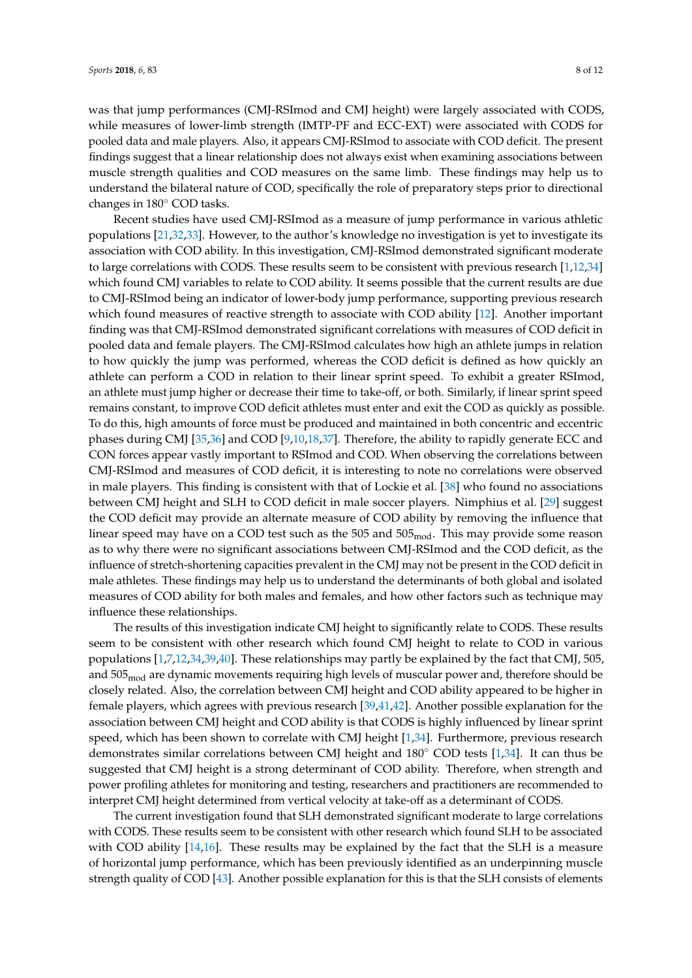was that jump performances (CMJ-RSImod and CMJ height) were largely associated with CODS, while measures of lower-limb strength (IMTP-PF and ECC-EXT) were associated with CODS for pooled data and male players. Also, it appears CMJ-RSImod to associate with COD deficit. The present findings suggest that a linear relationship does not always exist when examining associations between muscle strength qualities and COD measures on the same limb. These findings may help us to understand the bilateral nature of COD, specifically the role of preparatory steps prior to directional changes in 180◦ COD tasks.

Recent studies have used CMJ-RSImod as a measure of jump performance in various athletic populations [\[21,](#page-10-8)[32,](#page-10-19)[33\]](#page-11-0). However, to the author's knowledge no investigation is yet to investigate its association with COD ability. In this investigation, CMJ-RSImod demonstrated significant moderate to large correlations with CODS. These results seem to be consistent with previous research [\[1](#page-9-0)[,12](#page-10-0)[,34\]](#page-11-1) which found CMJ variables to relate to COD ability. It seems possible that the current results are due to CMJ-RSImod being an indicator of lower-body jump performance, supporting previous research which found measures of reactive strength to associate with COD ability [\[12\]](#page-10-0). Another important finding was that CMJ-RSImod demonstrated significant correlations with measures of COD deficit in pooled data and female players. The CMJ-RSImod calculates how high an athlete jumps in relation to how quickly the jump was performed, whereas the COD deficit is defined as how quickly an athlete can perform a COD in relation to their linear sprint speed. To exhibit a greater RSImod, an athlete must jump higher or decrease their time to take-off, or both. Similarly, if linear sprint speed remains constant, to improve COD deficit athletes must enter and exit the COD as quickly as possible. To do this, high amounts of force must be produced and maintained in both concentric and eccentric phases during CMJ [\[35,](#page-11-2)[36\]](#page-11-3) and COD [\[9,](#page-9-8)[10,](#page-9-9)[18,](#page-10-6)[37\]](#page-11-4). Therefore, the ability to rapidly generate ECC and CON forces appear vastly important to RSImod and COD. When observing the correlations between CMJ-RSImod and measures of COD deficit, it is interesting to note no correlations were observed in male players. This finding is consistent with that of Lockie et al. [\[38\]](#page-11-5) who found no associations between CMJ height and SLH to COD deficit in male soccer players. Nimphius et al. [\[29\]](#page-10-16) suggest the COD deficit may provide an alternate measure of COD ability by removing the influence that linear speed may have on a COD test such as the 505 and 505<sub>mod</sub>. This may provide some reason as to why there were no significant associations between CMJ-RSImod and the COD deficit, as the influence of stretch-shortening capacities prevalent in the CMJ may not be present in the COD deficit in male athletes. These findings may help us to understand the determinants of both global and isolated measures of COD ability for both males and females, and how other factors such as technique may influence these relationships.

The results of this investigation indicate CMJ height to significantly relate to CODS. These results seem to be consistent with other research which found CMJ height to relate to COD in various populations [\[1](#page-9-0)[,7](#page-9-6)[,12,](#page-10-0)[34](#page-11-1)[,39,](#page-11-6)[40\]](#page-11-7). These relationships may partly be explained by the fact that CMJ, 505, and 505<sub>mod</sub> are dynamic movements requiring high levels of muscular power and, therefore should be closely related. Also, the correlation between CMJ height and COD ability appeared to be higher in female players, which agrees with previous research [\[39,](#page-11-6)[41,](#page-11-8)[42\]](#page-11-9). Another possible explanation for the association between CMJ height and COD ability is that CODS is highly influenced by linear sprint speed, which has been shown to correlate with CMJ height [\[1,](#page-9-0)[34\]](#page-11-1). Furthermore, previous research demonstrates similar correlations between CMJ height and 180◦ COD tests [\[1](#page-9-0)[,34\]](#page-11-1). It can thus be suggested that CMJ height is a strong determinant of COD ability. Therefore, when strength and power profiling athletes for monitoring and testing, researchers and practitioners are recommended to interpret CMJ height determined from vertical velocity at take-off as a determinant of CODS.

The current investigation found that SLH demonstrated significant moderate to large correlations with CODS. These results seem to be consistent with other research which found SLH to be associated with COD ability [\[14,](#page-10-2)[16\]](#page-10-4). These results may be explained by the fact that the SLH is a measure of horizontal jump performance, which has been previously identified as an underpinning muscle strength quality of COD [\[43\]](#page-11-10). Another possible explanation for this is that the SLH consists of elements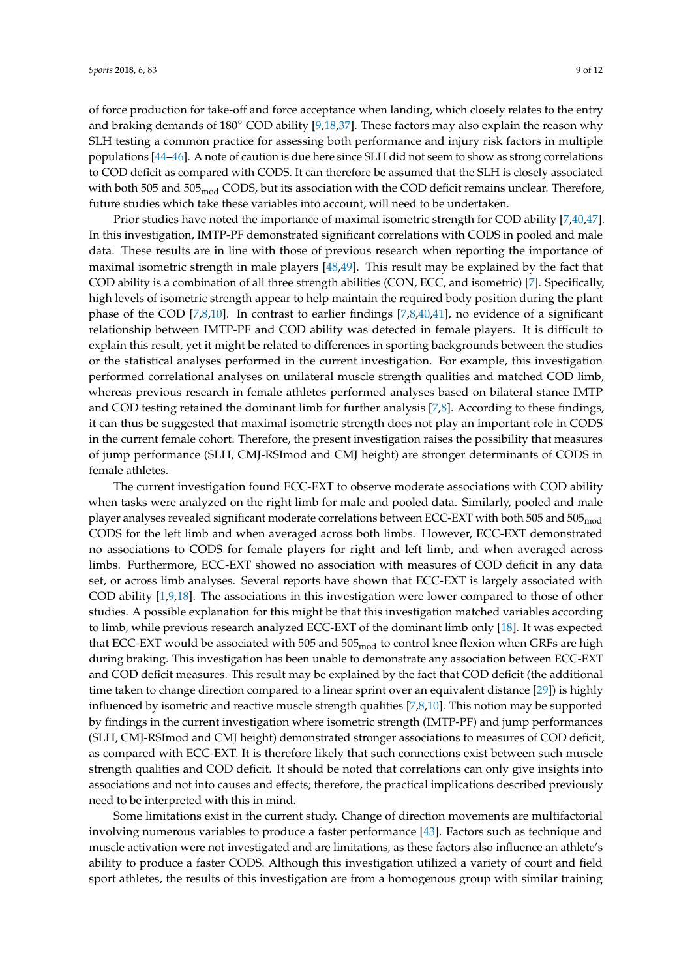of force production for take-off and force acceptance when landing, which closely relates to the entry and braking demands of 180◦ COD ability [\[9,](#page-9-8)[18,](#page-10-6)[37\]](#page-11-4). These factors may also explain the reason why SLH testing a common practice for assessing both performance and injury risk factors in multiple populations [\[44](#page-11-11)[–46\]](#page-11-12). A note of caution is due here since SLH did not seem to show as strong correlations to COD deficit as compared with CODS. It can therefore be assumed that the SLH is closely associated with both 505 and 505 $_{\text{mod}}$  CODS, but its association with the COD deficit remains unclear. Therefore, future studies which take these variables into account, will need to be undertaken.

Prior studies have noted the importance of maximal isometric strength for COD ability [\[7](#page-9-6)[,40,](#page-11-7)[47\]](#page-11-13). In this investigation, IMTP-PF demonstrated significant correlations with CODS in pooled and male data. These results are in line with those of previous research when reporting the importance of maximal isometric strength in male players [\[48](#page-11-14)[,49\]](#page-11-15). This result may be explained by the fact that COD ability is a combination of all three strength abilities (CON, ECC, and isometric) [\[7\]](#page-9-6). Specifically, high levels of isometric strength appear to help maintain the required body position during the plant phase of the COD [\[7](#page-9-6)[,8](#page-9-7)[,10\]](#page-9-9). In contrast to earlier findings [\[7](#page-9-6)[,8](#page-9-7)[,40,](#page-11-7)[41\]](#page-11-8), no evidence of a significant relationship between IMTP-PF and COD ability was detected in female players. It is difficult to explain this result, yet it might be related to differences in sporting backgrounds between the studies or the statistical analyses performed in the current investigation. For example, this investigation performed correlational analyses on unilateral muscle strength qualities and matched COD limb, whereas previous research in female athletes performed analyses based on bilateral stance IMTP and COD testing retained the dominant limb for further analysis [\[7,](#page-9-6)[8\]](#page-9-7). According to these findings, it can thus be suggested that maximal isometric strength does not play an important role in CODS in the current female cohort. Therefore, the present investigation raises the possibility that measures of jump performance (SLH, CMJ-RSImod and CMJ height) are stronger determinants of CODS in female athletes.

The current investigation found ECC-EXT to observe moderate associations with COD ability when tasks were analyzed on the right limb for male and pooled data. Similarly, pooled and male player analyses revealed significant moderate correlations between ECC-EXT with both 505 and 505<sub>mod</sub> CODS for the left limb and when averaged across both limbs. However, ECC-EXT demonstrated no associations to CODS for female players for right and left limb, and when averaged across limbs. Furthermore, ECC-EXT showed no association with measures of COD deficit in any data set, or across limb analyses. Several reports have shown that ECC-EXT is largely associated with COD ability [\[1](#page-9-0)[,9,](#page-9-8)[18\]](#page-10-6). The associations in this investigation were lower compared to those of other studies. A possible explanation for this might be that this investigation matched variables according to limb, while previous research analyzed ECC-EXT of the dominant limb only [\[18\]](#page-10-6). It was expected that ECC-EXT would be associated with 505 and  $505<sub>mod</sub>$  to control knee flexion when GRFs are high during braking. This investigation has been unable to demonstrate any association between ECC-EXT and COD deficit measures. This result may be explained by the fact that COD deficit (the additional time taken to change direction compared to a linear sprint over an equivalent distance [\[29\]](#page-10-16)) is highly influenced by isometric and reactive muscle strength qualities [\[7](#page-9-6)[,8](#page-9-7)[,10\]](#page-9-9). This notion may be supported by findings in the current investigation where isometric strength (IMTP-PF) and jump performances (SLH, CMJ-RSImod and CMJ height) demonstrated stronger associations to measures of COD deficit, as compared with ECC-EXT. It is therefore likely that such connections exist between such muscle strength qualities and COD deficit. It should be noted that correlations can only give insights into associations and not into causes and effects; therefore, the practical implications described previously need to be interpreted with this in mind.

Some limitations exist in the current study. Change of direction movements are multifactorial involving numerous variables to produce a faster performance [\[43\]](#page-11-10). Factors such as technique and muscle activation were not investigated and are limitations, as these factors also influence an athlete's ability to produce a faster CODS. Although this investigation utilized a variety of court and field sport athletes, the results of this investigation are from a homogenous group with similar training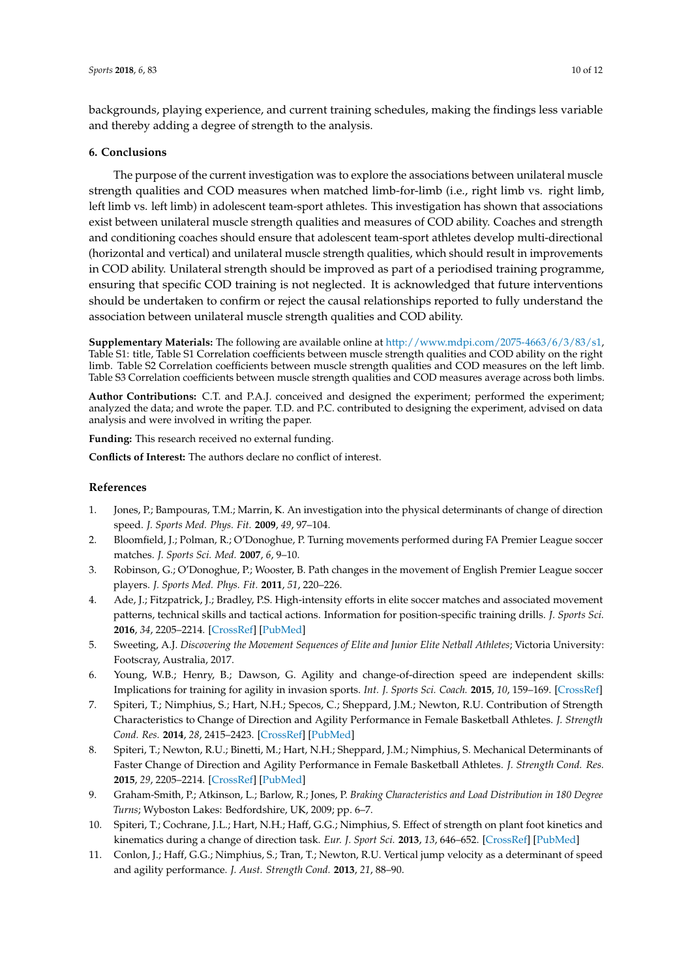backgrounds, playing experience, and current training schedules, making the findings less variable and thereby adding a degree of strength to the analysis.

#### **6. Conclusions**

The purpose of the current investigation was to explore the associations between unilateral muscle strength qualities and COD measures when matched limb-for-limb (i.e., right limb vs. right limb, left limb vs. left limb) in adolescent team-sport athletes. This investigation has shown that associations exist between unilateral muscle strength qualities and measures of COD ability. Coaches and strength and conditioning coaches should ensure that adolescent team-sport athletes develop multi-directional (horizontal and vertical) and unilateral muscle strength qualities, which should result in improvements in COD ability. Unilateral strength should be improved as part of a periodised training programme, ensuring that specific COD training is not neglected. It is acknowledged that future interventions should be undertaken to confirm or reject the causal relationships reported to fully understand the association between unilateral muscle strength qualities and COD ability.

**Supplementary Materials:** The following are available online at [http://www.mdpi.com/2075-4663/6/3/83/s1,](http://www.mdpi.com/2075-4663/6/3/83/s1) Table S1: title, Table S1 Correlation coefficients between muscle strength qualities and COD ability on the right limb. Table S2 Correlation coefficients between muscle strength qualities and COD measures on the left limb. Table S3 Correlation coefficients between muscle strength qualities and COD measures average across both limbs.

**Author Contributions:** C.T. and P.A.J. conceived and designed the experiment; performed the experiment; analyzed the data; and wrote the paper. T.D. and P.C. contributed to designing the experiment, advised on data analysis and were involved in writing the paper.

**Funding:** This research received no external funding.

**Conflicts of Interest:** The authors declare no conflict of interest.

#### **References**

- <span id="page-9-0"></span>1. Jones, P.; Bampouras, T.M.; Marrin, K. An investigation into the physical determinants of change of direction speed. *J. Sports Med. Phys. Fit.* **2009**, *49*, 97–104.
- <span id="page-9-1"></span>2. Bloomfield, J.; Polman, R.; O'Donoghue, P. Turning movements performed during FA Premier League soccer matches. *J. Sports Sci. Med.* **2007**, *6*, 9–10.
- <span id="page-9-2"></span>3. Robinson, G.; O'Donoghue, P.; Wooster, B. Path changes in the movement of English Premier League soccer players. *J. Sports Med. Phys. Fit.* **2011**, *51*, 220–226.
- <span id="page-9-3"></span>4. Ade, J.; Fitzpatrick, J.; Bradley, P.S. High-intensity efforts in elite soccer matches and associated movement patterns, technical skills and tactical actions. Information for position-specific training drills. *J. Sports Sci.* **2016**, *34*, 2205–2214. [\[CrossRef\]](http://dx.doi.org/10.1080/02640414.2016.1217343) [\[PubMed\]](http://www.ncbi.nlm.nih.gov/pubmed/27537056)
- <span id="page-9-4"></span>5. Sweeting, A.J. *Discovering the Movement Sequences of Elite and Junior Elite Netball Athletes*; Victoria University: Footscray, Australia, 2017.
- <span id="page-9-5"></span>6. Young, W.B.; Henry, B.; Dawson, G. Agility and change-of-direction speed are independent skills: Implications for training for agility in invasion sports. *Int. J. Sports Sci. Coach.* **2015**, *10*, 159–169. [\[CrossRef\]](http://dx.doi.org/10.1260/1747-9541.10.1.159)
- <span id="page-9-6"></span>7. Spiteri, T.; Nimphius, S.; Hart, N.H.; Specos, C.; Sheppard, J.M.; Newton, R.U. Contribution of Strength Characteristics to Change of Direction and Agility Performance in Female Basketball Athletes. *J. Strength Cond. Res.* **2014**, *28*, 2415–2423. [\[CrossRef\]](http://dx.doi.org/10.1519/JSC.0000000000000547) [\[PubMed\]](http://www.ncbi.nlm.nih.gov/pubmed/24875426)
- <span id="page-9-7"></span>8. Spiteri, T.; Newton, R.U.; Binetti, M.; Hart, N.H.; Sheppard, J.M.; Nimphius, S. Mechanical Determinants of Faster Change of Direction and Agility Performance in Female Basketball Athletes. *J. Strength Cond. Res.* **2015**, *29*, 2205–2214. [\[CrossRef\]](http://dx.doi.org/10.1519/JSC.0000000000000876) [\[PubMed\]](http://www.ncbi.nlm.nih.gov/pubmed/25734779)
- <span id="page-9-8"></span>9. Graham-Smith, P.; Atkinson, L.; Barlow, R.; Jones, P. *Braking Characteristics and Load Distribution in 180 Degree Turns*; Wyboston Lakes: Bedfordshire, UK, 2009; pp. 6–7.
- <span id="page-9-9"></span>10. Spiteri, T.; Cochrane, J.L.; Hart, N.H.; Haff, G.G.; Nimphius, S. Effect of strength on plant foot kinetics and kinematics during a change of direction task. *Eur. J. Sport Sci.* **2013**, *13*, 646–652. [\[CrossRef\]](http://dx.doi.org/10.1080/17461391.2013.774053) [\[PubMed\]](http://www.ncbi.nlm.nih.gov/pubmed/24251742)
- <span id="page-9-10"></span>11. Conlon, J.; Haff, G.G.; Nimphius, S.; Tran, T.; Newton, R.U. Vertical jump velocity as a determinant of speed and agility performance. *J. Aust. Strength Cond.* **2013**, *21*, 88–90.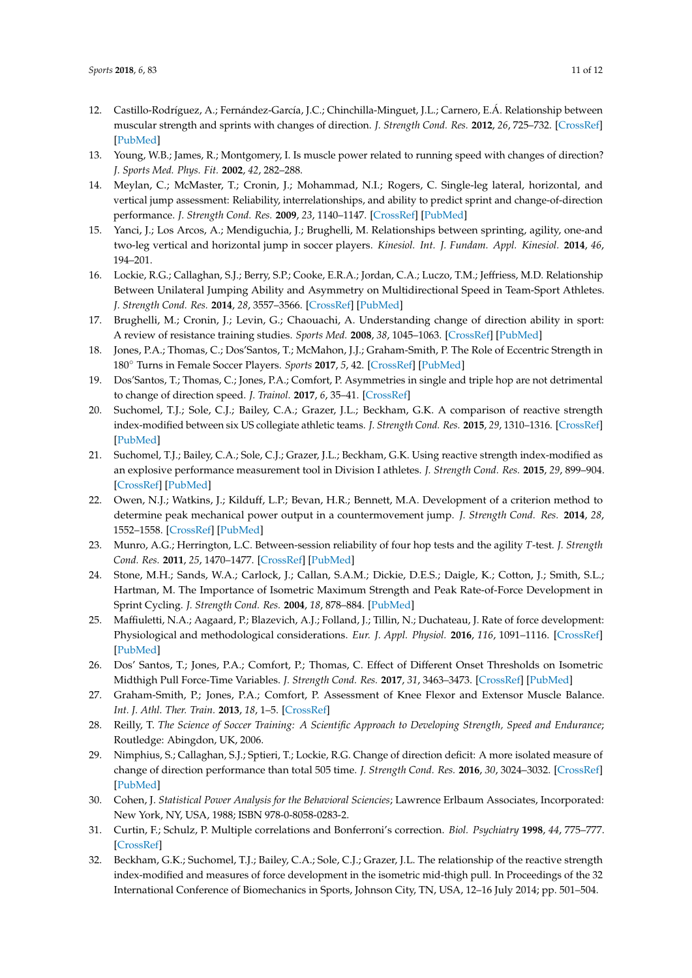- <span id="page-10-0"></span>12. Castillo-Rodríguez, A.; Fernández-García, J.C.; Chinchilla-Minguet, J.L.; Carnero, E.Á. Relationship between muscular strength and sprints with changes of direction. *J. Strength Cond. Res.* **2012**, *26*, 725–732. [\[CrossRef\]](http://dx.doi.org/10.1519/JSC.0b013e31822602db) [\[PubMed\]](http://www.ncbi.nlm.nih.gov/pubmed/22289697)
- <span id="page-10-1"></span>13. Young, W.B.; James, R.; Montgomery, I. Is muscle power related to running speed with changes of direction? *J. Sports Med. Phys. Fit.* **2002**, *42*, 282–288.
- <span id="page-10-2"></span>14. Meylan, C.; McMaster, T.; Cronin, J.; Mohammad, N.I.; Rogers, C. Single-leg lateral, horizontal, and vertical jump assessment: Reliability, interrelationships, and ability to predict sprint and change-of-direction performance. *J. Strength Cond. Res.* **2009**, *23*, 1140–1147. [\[CrossRef\]](http://dx.doi.org/10.1519/JSC.0b013e318190f9c2) [\[PubMed\]](http://www.ncbi.nlm.nih.gov/pubmed/19528866)
- <span id="page-10-3"></span>15. Yanci, J.; Los Arcos, A.; Mendiguchia, J.; Brughelli, M. Relationships between sprinting, agility, one-and two-leg vertical and horizontal jump in soccer players. *Kinesiol. Int. J. Fundam. Appl. Kinesiol.* **2014**, *46*, 194–201.
- <span id="page-10-4"></span>16. Lockie, R.G.; Callaghan, S.J.; Berry, S.P.; Cooke, E.R.A.; Jordan, C.A.; Luczo, T.M.; Jeffriess, M.D. Relationship Between Unilateral Jumping Ability and Asymmetry on Multidirectional Speed in Team-Sport Athletes. *J. Strength Cond. Res.* **2014**, *28*, 3557–3566. [\[CrossRef\]](http://dx.doi.org/10.1519/JSC.0000000000000588) [\[PubMed\]](http://www.ncbi.nlm.nih.gov/pubmed/24942166)
- <span id="page-10-5"></span>17. Brughelli, M.; Cronin, J.; Levin, G.; Chaouachi, A. Understanding change of direction ability in sport: A review of resistance training studies. *Sports Med.* **2008**, *38*, 1045–1063. [\[CrossRef\]](http://dx.doi.org/10.2165/00007256-200838120-00007) [\[PubMed\]](http://www.ncbi.nlm.nih.gov/pubmed/19026020)
- <span id="page-10-6"></span>18. Jones, P.A.; Thomas, C.; Dos'Santos, T.; McMahon, J.J.; Graham-Smith, P. The Role of Eccentric Strength in 180◦ Turns in Female Soccer Players. *Sports* **2017**, *5*, 42. [\[CrossRef\]](http://dx.doi.org/10.3390/sports5020042) [\[PubMed\]](http://www.ncbi.nlm.nih.gov/pubmed/29910402)
- <span id="page-10-7"></span>19. Dos'Santos, T.; Thomas, C.; Jones, P.A.; Comfort, P. Asymmetries in single and triple hop are not detrimental to change of direction speed. *J. Trainol.* **2017**, *6*, 35–41. [\[CrossRef\]](http://dx.doi.org/10.17338/trainology.6.2_35)
- 20. Suchomel, T.J.; Sole, C.J.; Bailey, C.A.; Grazer, J.L.; Beckham, G.K. A comparison of reactive strength index-modified between six US collegiate athletic teams. *J. Strength Cond. Res.* **2015**, *29*, 1310–1316. [\[CrossRef\]](http://dx.doi.org/10.1519/JSC.0000000000000761) [\[PubMed\]](http://www.ncbi.nlm.nih.gov/pubmed/25436634)
- <span id="page-10-8"></span>21. Suchomel, T.J.; Bailey, C.A.; Sole, C.J.; Grazer, J.L.; Beckham, G.K. Using reactive strength index-modified as an explosive performance measurement tool in Division I athletes. *J. Strength Cond. Res.* **2015**, *29*, 899–904. [\[CrossRef\]](http://dx.doi.org/10.1519/JSC.0000000000000743) [\[PubMed\]](http://www.ncbi.nlm.nih.gov/pubmed/25426515)
- <span id="page-10-9"></span>22. Owen, N.J.; Watkins, J.; Kilduff, L.P.; Bevan, H.R.; Bennett, M.A. Development of a criterion method to determine peak mechanical power output in a countermovement jump. *J. Strength Cond. Res.* **2014**, *28*, 1552–1558. [\[CrossRef\]](http://dx.doi.org/10.1519/JSC.0000000000000311) [\[PubMed\]](http://www.ncbi.nlm.nih.gov/pubmed/24276298)
- <span id="page-10-10"></span>23. Munro, A.G.; Herrington, L.C. Between-session reliability of four hop tests and the agility *T*-test. *J. Strength Cond. Res.* **2011**, *25*, 1470–1477. [\[CrossRef\]](http://dx.doi.org/10.1519/JSC.0b013e3181d83335) [\[PubMed\]](http://www.ncbi.nlm.nih.gov/pubmed/21116200)
- <span id="page-10-11"></span>24. Stone, M.H.; Sands, W.A.; Carlock, J.; Callan, S.A.M.; Dickie, D.E.S.; Daigle, K.; Cotton, J.; Smith, S.L.; Hartman, M. The Importance of Isometric Maximum Strength and Peak Rate-of-Force Development in Sprint Cycling. *J. Strength Cond. Res.* **2004**, *18*, 878–884. [\[PubMed\]](http://www.ncbi.nlm.nih.gov/pubmed/15574097)
- <span id="page-10-12"></span>25. Maffiuletti, N.A.; Aagaard, P.; Blazevich, A.J.; Folland, J.; Tillin, N.; Duchateau, J. Rate of force development: Physiological and methodological considerations. *Eur. J. Appl. Physiol.* **2016**, *116*, 1091–1116. [\[CrossRef\]](http://dx.doi.org/10.1007/s00421-016-3346-6) [\[PubMed\]](http://www.ncbi.nlm.nih.gov/pubmed/26941023)
- <span id="page-10-13"></span>26. Dos' Santos, T.; Jones, P.A.; Comfort, P.; Thomas, C. Effect of Different Onset Thresholds on Isometric Midthigh Pull Force-Time Variables. *J. Strength Cond. Res.* **2017**, *31*, 3463–3473. [\[CrossRef\]](http://dx.doi.org/10.1519/JSC.0000000000001765) [\[PubMed\]](http://www.ncbi.nlm.nih.gov/pubmed/28002178)
- <span id="page-10-14"></span>27. Graham-Smith, P.; Jones, P.A.; Comfort, P. Assessment of Knee Flexor and Extensor Muscle Balance. *Int. J. Athl. Ther. Train.* **2013**, *18*, 1–5. [\[CrossRef\]](http://dx.doi.org/10.1123/ijatt.18.5.1)
- <span id="page-10-15"></span>28. Reilly, T. *The Science of Soccer Training: A Scientific Approach to Developing Strength, Speed and Endurance*; Routledge: Abingdon, UK, 2006.
- <span id="page-10-16"></span>29. Nimphius, S.; Callaghan, S.J.; Sptieri, T.; Lockie, R.G. Change of direction deficit: A more isolated measure of change of direction performance than total 505 time. *J. Strength Cond. Res.* **2016**, *30*, 3024–3032. [\[CrossRef\]](http://dx.doi.org/10.1519/JSC.0000000000001421) [\[PubMed\]](http://www.ncbi.nlm.nih.gov/pubmed/26982972)
- <span id="page-10-17"></span>30. Cohen, J. *Statistical Power Analysis for the Behavioral Sciencies*; Lawrence Erlbaum Associates, Incorporated: New York, NY, USA, 1988; ISBN 978-0-8058-0283-2.
- <span id="page-10-18"></span>31. Curtin, F.; Schulz, P. Multiple correlations and Bonferroni's correction. *Biol. Psychiatry* **1998**, *44*, 775–777. [\[CrossRef\]](http://dx.doi.org/10.1016/S0006-3223(98)00043-2)
- <span id="page-10-19"></span>32. Beckham, G.K.; Suchomel, T.J.; Bailey, C.A.; Sole, C.J.; Grazer, J.L. The relationship of the reactive strength index-modified and measures of force development in the isometric mid-thigh pull. In Proceedings of the 32 International Conference of Biomechanics in Sports, Johnson City, TN, USA, 12–16 July 2014; pp. 501–504.